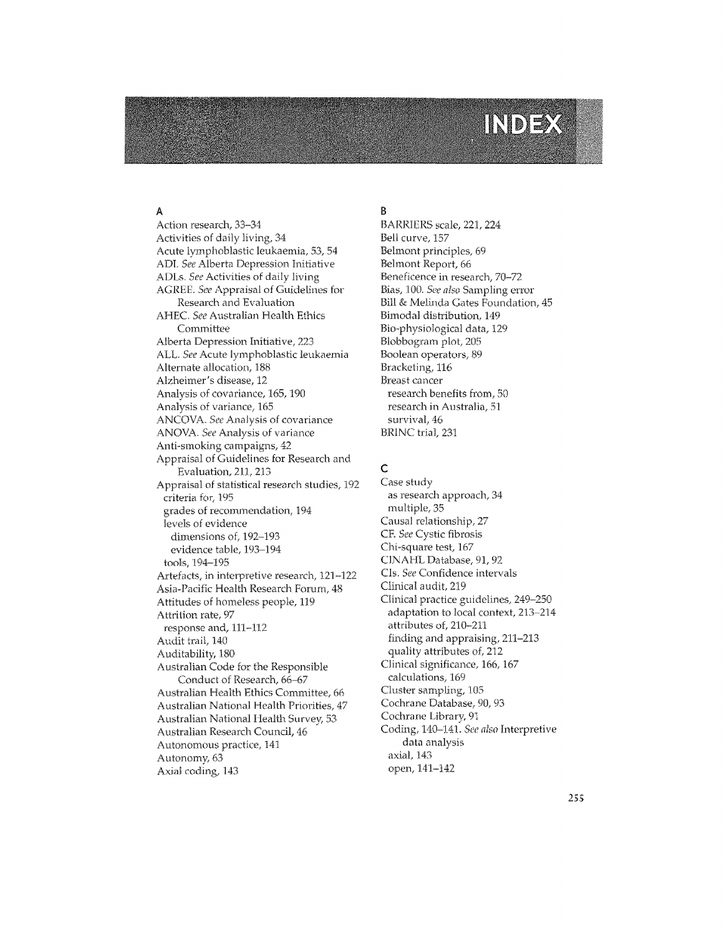# INDEX

### A

Action research, 33-34 Activities of daily living, 34 Acute lymphoblastic leukaemia, 53, 54 ADI. See Alberta Depression Initiative ADLs. See Activities of daily living AGREE. See Appraisal of Guidelines for Research and Evaluation AHEC. See Australian Health Ethics Committee Alberta Depression Initiative, 223 ALL. See Acute lymphoblastic leukaemia Alternate allocation, 188 Alzheimer's disease, 12 Analysis of covariance, 165, 190 Analysis of variance, 165 ANCOVA. See Analysis of covariance ANOVA. See Analysis of variance Anti-smoking campaigns, 42 Appraisal of Guidelines for Research and Evaluation, 211, 213 Appraisal of statistical research studies, 192 criteria for, 195 grades of recommendation, 194 levels of evidence dimensions of, 192-193 evidence table, 193-194 tools, 194-195 Artefacts, in interpretive research, 121-122 Asia-Pacific Health Research Forum, 48 Attitudes of homeless people, 119 Attrition rate, 97 response and, 111-112 Audit trail, 140 Auditability, 180 Australian Code for the Responsible Conduct of Research, 66-67 Australian Health Ethics Committee, 66 Australian National Health Priorities, 47 Australian National Health Survey, 53 Australian Research Council, 46 Autonomous practice, 141 Autonomy, 63 Axial coding, 143

# B

BARRIERS scale, 221, 224 Bell curve, 157 Belmont principles, 69 Belmont Report, 66 Beneficence in research, 70-72 Bias, 100. See also Sampling error Bill & Melinda Gates Foundation, 45 Bimodal distribution, 149 Bio-physiological data, 129 Blobbogram plot, 205 Boolean operators, 89 Bracketing, 116 Breast cancer research benefits from, 50 research in Australia, 51 survival, 46 BRINC trial, 231

# $\mathsf{C}$

Case study as research approach, 34 multiple, 35 Causal relationship, 27 CF. See Cystic fibrosis Chi-square test, 167 CINAHL Database, 91, 92 CIs. See Confidence intervals Clinical audit, 219 Clinical practice guidelines, 249-250 adaptation to local context, 213-214 attributes of, 210-211 finding and appraising, 211-213 quality attributes of, 212 Clinical significance, 166, 167 calculations, 169 Cluster sampling, 105 Cochrane Database, 90, 93 Cochrane Library, 91 Coding, 140-141. See also Interpretive data analysis axial, 143 open, 141-142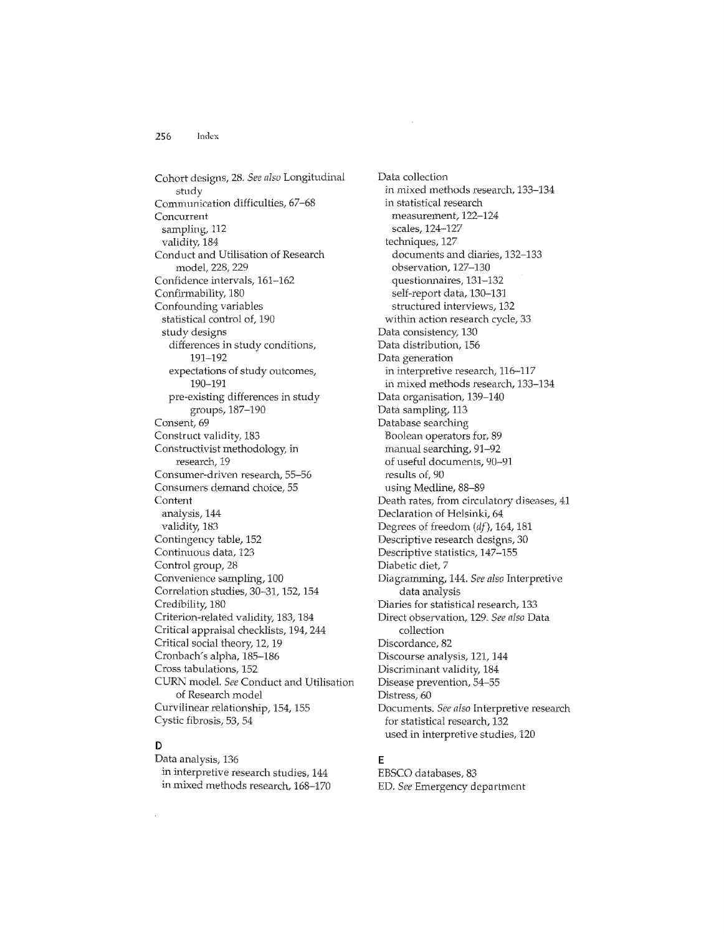Cohort designs, 28. *See also* Longitudinal study Communication difficulties, 67-68 Concurrent sampling, 112 validity, 184 Conduct and Utilisation of Research model, 228, 229 Confidence intervals, 161-162 ConfirmabiIity, 180 Confounding variables statistical control of, 190 study designs differences in study conditions, 191-192 expectations of study outcomes, 190-191 pre-existing differences in study groups, 187-190 Consent, 69 Construct validity, 183 Constructivist methodology, in research, 19 Consumer-driven research,55-56 Consumers demand choice, 55 **Content** analysis, 144 validity, 183 Contingency table, 152 Continuous data, 123 Control group, 28 Convenience sampling, 100 Correlation studies, 30-31,152,154 Credibility, 180 Criterion-related validity, 183, 184 Critical appraisal checklists, 194, 244 Critical social theory, 12, 19 Cronbach's alpha, 185-186 Cross tabulations, 152 CURN modeL *See* Conduct and Utilisation of Research model Curvilinear relationship, 154, 155 Cystic fibrosis, 53, 54

# D

Data analysis, 136 in interpretive research studies, 144 in mixed methods research, 168-170 Data collection in mixed methods research, 133-134 in statistical research measurement, 122-124 scales, 124-127 techniques, 127 documents and diaries, 132-133 observation, 127-130 questionnaires, 131-132 self-report data, 130-131 structured interviews, 132 within action research cycle, 33 Data consistency, 130 Data distribution, 156 Data generation in interpretive research, 116-117 in mixed methods research, 133-134 Data organisation, 139-140 Data sampling, 113 Database searching Boolean operators for, 89 manual searching, 9J-92 of useful documents, 90-91 results of, 90 using Medline, 88-89 Death rates, from circulatory diseases, 41 Declaration of Helsinki, 64. Degrees of freedom *(dj),* 164, 181 Descriptive research designs, 30 Descriptive statistics, 147-155 Diabetic diet, 7 Diagramming, 144. *See also* Interpretive data analysis Diaries for statistical research, 133 Direct observation, 129. *See also* Data collection Discordance, 82 Discourse analysis, 121, 144 Discriminant validity, 184 Disease prevention, 54-55 Distress, 60 Documents. *See also* Interpretive research for statistical research, 132 used in interpretive studies, 120

#### E

EBSCO databases, 83 ED, *See* Emergency department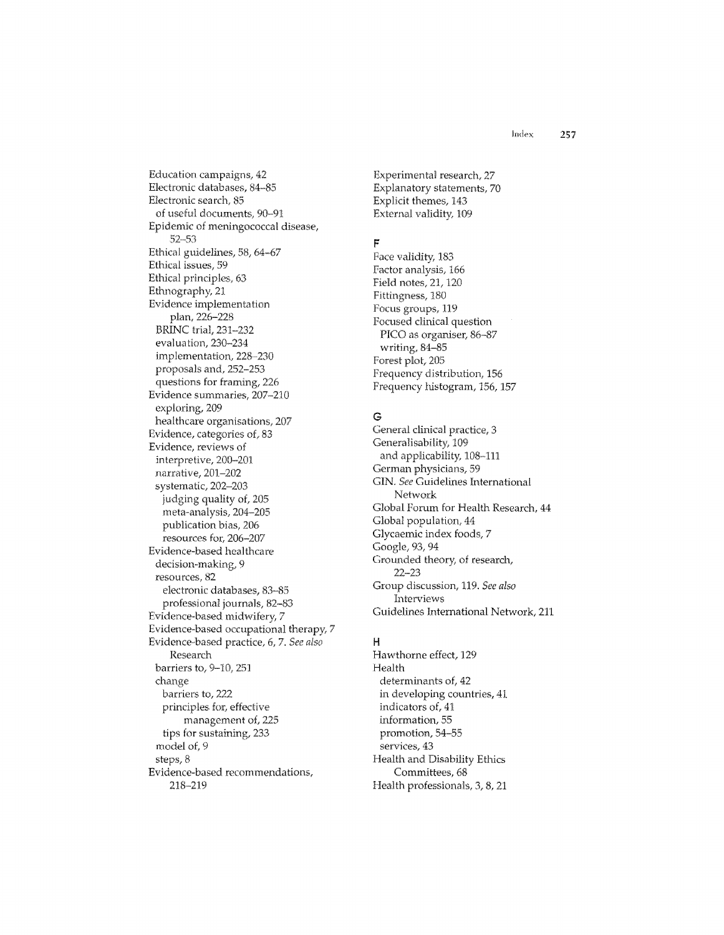Education campaigns, 42 Electronic databases. 84-85 Electronic search, 85 of useful documents, 90-91 Epidemic of meningococcal disease,  $52 - 53$ Ethical guidelines, 58, 64-67 Ethical issues, 59 Ethical principles, 63 Ethnography, 21 Evidence implementation plan, 226-228 **BRINC** trial. 231-232 evaluation, 230-234 implementation, 228-230 proposals and, 252-253 questions for framing, 226 Evidence summaries, 207-210 exploring, 209 healthcare organisations, 207 Evidence, categories of, 83 Evidence, reviews of interpretive, 200-201 narrative, 201-202 systematic, 202-203 judging quality of, 205 meta-analysis, 204-205 publication bias, 206 resources for, 206-207 Evidence-based healthcare decision-making, 9 resources, 82 electronic databases, 83-85 professional journals, 82-83 Evidence-based midwifery, 7 Evidence-based occupational therapy, 7 Evidence-based practice, 6, 7. See also Research barriers to, 9-10, 251 change barriers to, 222 principles for, effective management of, 225 tips for sustaining, 233 model of, 9 steps, 8 Evidence-based recommendations,

218-219

Experimental research, 27 Explanatory statements, 70 Explicit themes, 143 External validity, 109

#### F

Face validity, 183 Factor analysis, 166 Field notes, 21, 120 Fittingness, 180 Focus groups, 119 Focused clinical question PICO as organiser, 86-87 writing, 84-85 Forest plot, 205 Frequency distribution, 156 Frequency histogram, 156, 157

# G

General clinical practice, 3 Generalisability, 109 and applicability, 108-111 German physicians, 59 GIN. See Guidelines International Network Global Forum for Health Research, 44 Global population, 44 Glycaemic index foods, 7 Google, 93, 94 Grounded theory, of research,  $22 - 23$ Group discussion, 119. See also Interviews Guidelines International Network, 211

### $H$

Hawthorne effect, 129 Health determinants of, 42 in developing countries, 41 indicators of, 41 information, 55 promotion, 54-55 services, 43 Health and Disability Ethics Committees, 68 Health professionals, 3, 8, 21

257

Index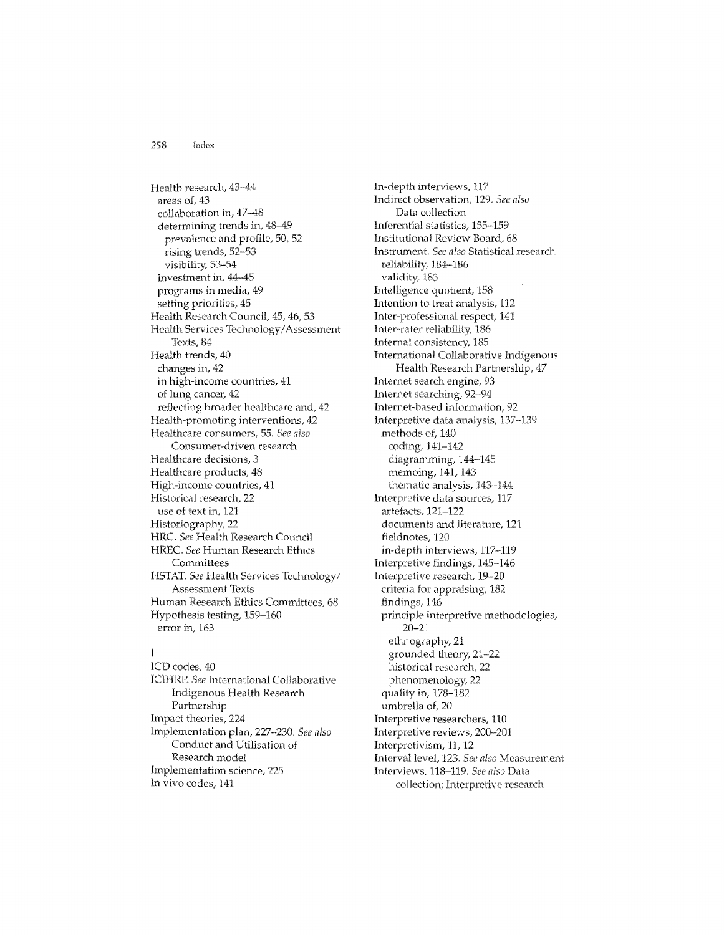Health research, 43-44 areas of, 43 collaboration in, 47-48 determining trends in, 48-49 prevalence and profile, 50, 52 rising trends, 52-53 visibility, 53-54 investment in, 44-45 programs in media, 49 setting priorities, 45 Health Research Council, 45, 46, 53 Health Services Technology/Assessment Texts, 84 Health trends, 40 changes in, 42 in high-income countries, 41 of lung cancer, 42 reflecting broader healthcare and, 42 Health-promoting interventions, 42 Healthcare consumers, 55. See also Consumer-driven research Healthcare decisions, 3 Healthcare products, 48 High-income countries, 41 Historical research, 22 use of text in, 121 Historiography, 22 HRC. See Health Research Council HREC. See Human Research Ethics Committees HSTAT. See Health Services Technology/ **Assessment Texts** Human Research Ethics Committees, 68 Hypothesis testing, 159-160 error in, 163

# $\mathbf{I}$

ICD codes, 40 ICIHRP. See International Collaborative Indigenous Health Research Partnership Impact theories, 224 Implementation plan, 227-230. See also Conduct and Utilisation of Research model Implementation science, 225 In vivo codes, 141

In-depth interviews, 117 Indirect observation, 129. See also Data collection Inferential statistics, 155-159 Institutional Review Board, 68 Instrument. See also Statistical research reliability, 184-186 validity, 183 Intelligence quotient, 158 Intention to treat analysis, 112 Inter-professional respect, 141 Inter-rater reliability, 186 Internal consistency, 185 International Collaborative Indigenous Health Research Partnership, 47 Internet search engine, 93 Internet searching, 92-94 Internet-based information, 92 Interpretive data analysis, 137-139 methods of, 140 coding, 141-142 diagramming, 144-145 memoing, 141, 143 thematic analysis, 143-144 Interpretive data sources, 117 artefacts, 121-122 documents and literature, 121 fieldnotes, 120 in-depth interviews, 117-119 Interpretive findings, 145-146 Interpretive research, 19-20 criteria for appraising, 182 findings, 146 principle interpretive methodologies,  $20 - 21$ ethnography, 21 grounded theory, 21-22 historical research, 22 phenomenology, 22 quality in, 178-182 umbrella of, 20 Interpretive researchers, 110 Interpretive reviews, 200-201 Interpretivism, 11, 12 Interval level, 123. See also Measurement Interviews, 118-119. See also Data collection; Interpretive research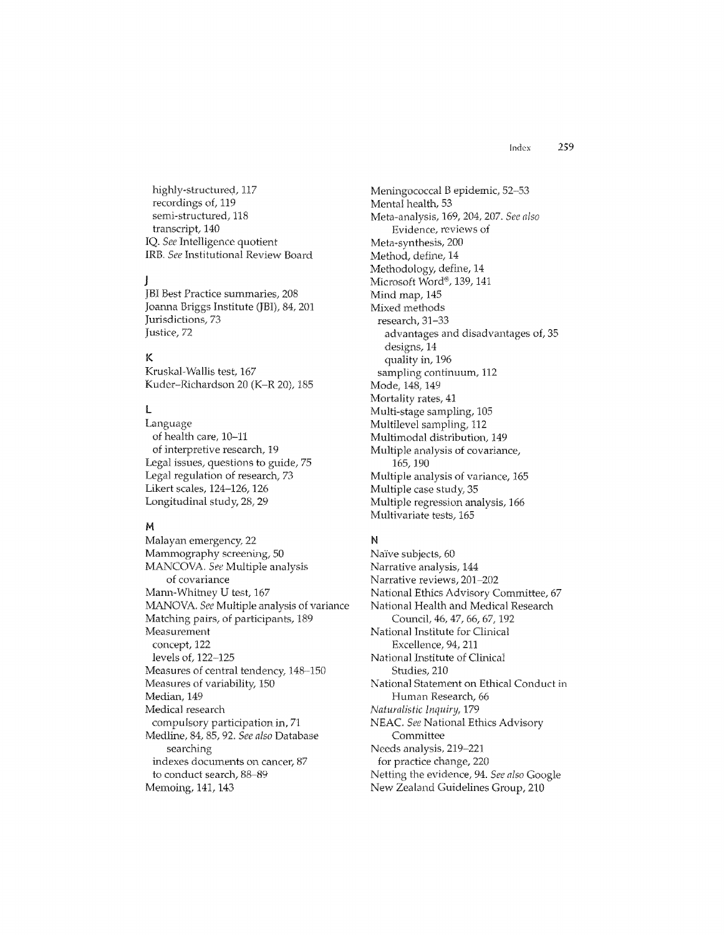highly-structured, 117 recordings of, 119 semi-structured, 118 transcript, 140 IQ. See Intelligence quotient IRB. See Institutional Review Board

#### -1

JBI Best Practice summaries, 208 Joanna Briggs Institute (JBI), 84, 201 Jurisdictions, 73 Justice, 72

# K

Kruskal-Wallis test, 167 Kuder-Richardson 20 (K-R 20), 185

# L

Language of health care, 10-11 of interpretive research, 19 Legal issues, questions to guide, 75 Legal regulation of research, 73 Likert scales, 124-126, 126 Longitudinal study, 28, 29

#### M

Malayan emergency, 22 Mammography screening, 50 MANCOVA. See Multiple analysis of covariance Mann-Whitney U test, 167 MANOVA. See Multiple analysis of variance Matching pairs, of participants, 189 Measurement concept, 122 levels of, 122-125 Measures of central tendency, 148-150 Measures of variability, 150 Median, 149 Medical research compulsory participation in, 71 Medline, 84, 85, 92. See also Database searching indexes documents on cancer, 87 to conduct search, 88-89 Memoing, 141, 143

Meningococcal B epidemic, 52-53 Mental health, 53 Meta-analysis, 169, 204, 207. See also Evidence, reviews of Meta-synthesis, 200 Method, define, 14 Methodology, define, 14 Microsoft Word®, 139, 141 Mind map, 145 Mixed methods research, 31-33 advantages and disadvantages of, 35 designs, 14 quality in, 196 sampling continuum, 112 Mode, 148, 149 Mortality rates, 41 Multi-stage sampling, 105 Multilevel sampling, 112 Multimodal distribution, 149 Multiple analysis of covariance, 165, 190 Multiple analysis of variance, 165 Multiple case study, 35 Multiple regression analysis, 166 Multivariate tests, 165

#### N

Naïve subjects, 60 Narrative analysis, 144 Narrative reviews, 201-202 National Ethics Advisory Committee, 67 National Health and Medical Research Council, 46, 47, 66, 67, 192 National Institute for Clinical Excellence, 94, 211 National Institute of Clinical Studies, 210 National Statement on Ethical Conduct in Human Research, 66 Naturalistic Inquiry, 179 NEAC. See National Ethics Advisory Committee Needs analysis, 219-221 for practice change, 220 Netting the evidence, 94. See also Google New Zealand Guidelines Group, 210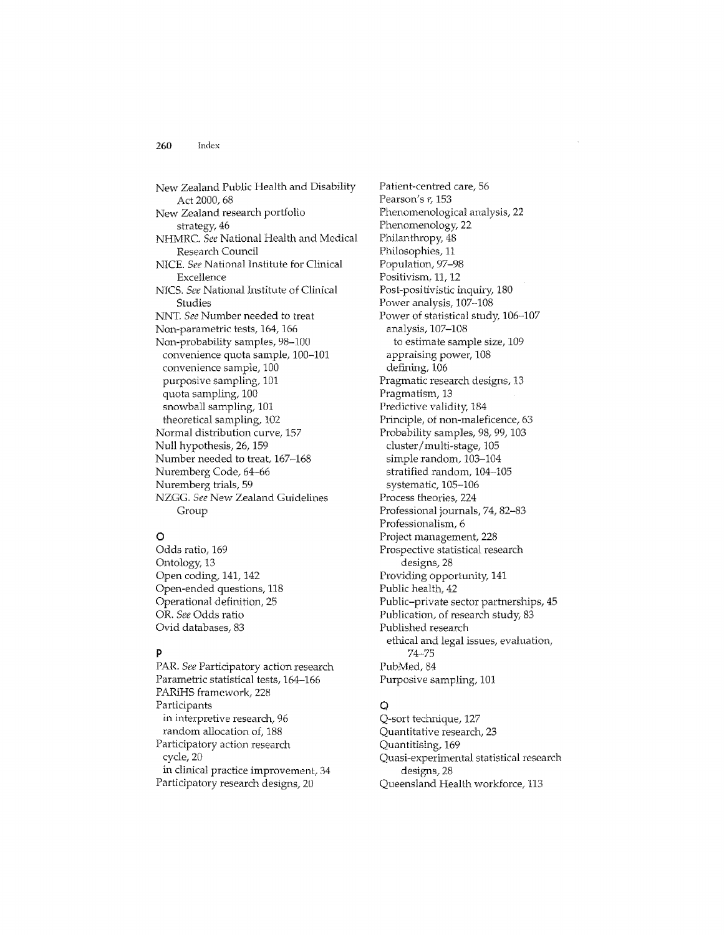New Zealand Public Health and Disability Act 2000, 68 New Zealand research portfolio strategy, 46 NHMRC. See National Health and Medical Research Council NICE. See National Institute for Clinical Excellence NICS. See National Institute of Clinical Studies NNT. See Number needed to treat Non-parametric tests, 164, 166 Non-probability samples, 98-100' convenience quota sample, 100-101 convenience sample, 100 purposive sampling, IDI quota sampling, 100 snowball sampling, 101 theoretical sampling, 102 Normal distribution curve, 157 Null hypothesis, 26,159 Number needed to treat, 167-168 Nuremberg Code, 64-66 Nuremberg trials, 59 NZGG. See New Zealand Guidelines Group

# o

Odds ratio, 169 Ontology, 13 Open coding, 141, 142 Open-ended questions, 118 Operational definition, 25 OR. See Odds ratio Ovid databases, 83

#### P

PAR. See Participatory action research Parametric statistical tests, 164-166 PARiHS framework, 228 Participants in interpretive research, 96 random allocation of, 188 Participatory action research cycle, 20 in clinical practice improvement, 34 Participatory research designs, 20

Patient-centred care, 56 Pearson's  $r$ , 153 Phenomenological analysis, 22 Phenomenology, 22 Philanthropy, 48 Philosophies, 11 Population, 97-98 Positivism, 11, 12 Post-positivistic inquiry, 180 Power analysis, 107-108 Power of statistical study, 106-107 analysis, 107-108 to estimate sample size, 109 appraising power, 108 defining, 106 Pragmatic research designs, 13 Pragmatism, 13 Predictive validity, 184 Principle, of non-maleficence, 63 Probability samples, 98, 99,103 cluster / multi-stage, 105 simple random, 103-104 stratified random, 104-105 systematic, 105-106 Process theories, 224 Professional journals, 74, 82-83 Professionalism, 6 Project management, 228 Prospective statistical research designs, 28 Providing opportunity, 141 Public health, 42 Public-private sector partnerships, 45 Publication, of research study, 83 Published research ethical and legal issues, evaluation, 74-75 PubMed, 84 Purposive sampling, 101

# $\circ$

Q-sort technique, 127 Quantitative research, 23 Quantitising, 169 Quasi-experimental statistical research designs, 28 Queensland Health workforce, 113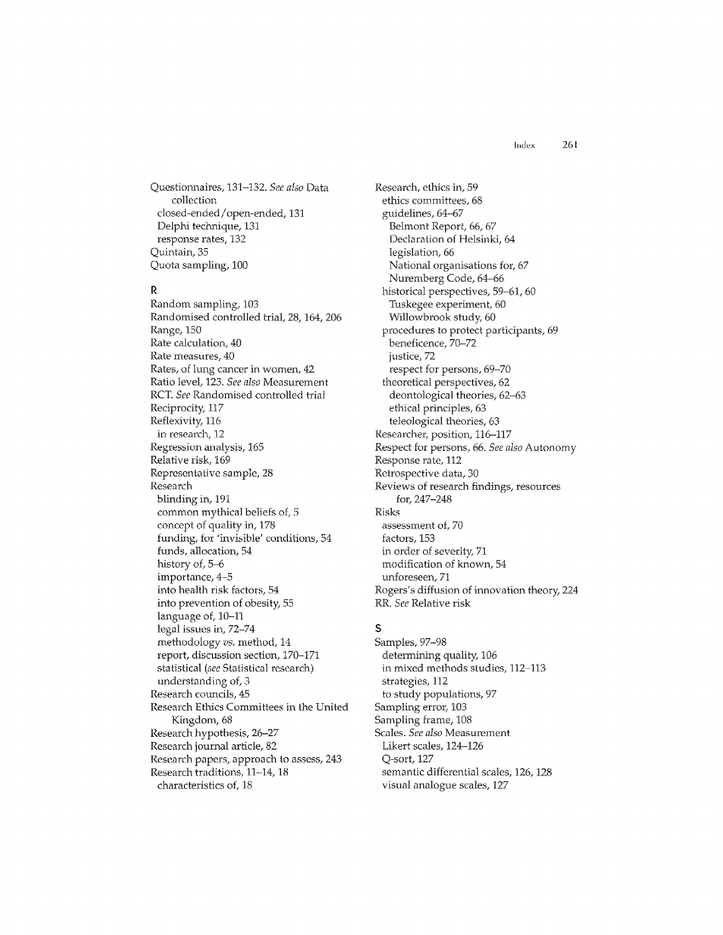Questionnaires, 13'1-132. *See also* Data collection closed-ended/open-ended, 131 Delphi technique, 131 response rates, 132 Quintain, 35 Quota sampling, 100

#### R

Random sampling, 103 Randomised controlled trial, 28, 164, 206 Range, 150 Rate calculation, 40 Rate measures, 40 Rates, of lung cancer in women, 42 Ratio level, 123. *See also* Measurement ReT *See* Randomised controlled trial Reciprocity, 117 Reflexivity, 116 in research, 12 Regression analysis, 165 Relative risk, 169 Representative sample, 28 Research blinding in, 191 common mythical beliefs of, 5 concept of quality in, 178 funding, for 'invisible' conditions, 54 funds, allocation, 54 history of, 5-6 importance, 4-5 into health risk factors, 54 into prevention of obesity, 55 language of, 10-11 legal issues in, 72-74 methodology *vs.* method, 14 report, discussion section, 170-171 statistical *(see* Statistical research) understanding of, 3 Research councils, 45 Research Ethics Committees in the United Kingdom, 68 Research hypothesis, 26-27 Research journal article, 82 Research papers, approach to assess, 243 Research traditions, 11-14, 18 characteristics of, 18

Research, ethics in, 59 ethics committees, 68 guidelines, 64-67 Belmont Report, 66, 67 Declaration of Helsinki, 64 legislation, 66 National organisations for, 67 Nuremberg Code, 64-66 historical perspectives, 59-61, 60 Tuskegee experiment, 60 Willowbrook study, 60 procedures to protect participants, 69 beneficence, 70-72 justice, 72 respect for persons, 69-70 theoretical perspectives, 62 deontological theories, 62-63 ethical principles, 63 teleological theories, 63 Researcher, position, 116-117 Respect for persons, 66, *See also* Autonomy Response rate, 112 Retrospective data, 30 Reviews of research findings, resources for, 247-248 Risks assessment of, 70 factors, 153 in order of severity, 71 modification of known, 54 unforeseen, 71 Rogers's diffusion of innovation theory, 224 RR. See Relative risk

# S

Samples, 97-98 determining quality, 106 in mixed methods studies, 112-113 strategies, 112 to study populations, 97 Sampling error, 103 Sampling frame, 108 Scales, *See also* Measurement Likert scales, 124-126 Q-sort, 127 semantic differential scales, 126, 128 visual analogue scales, 127

Index 261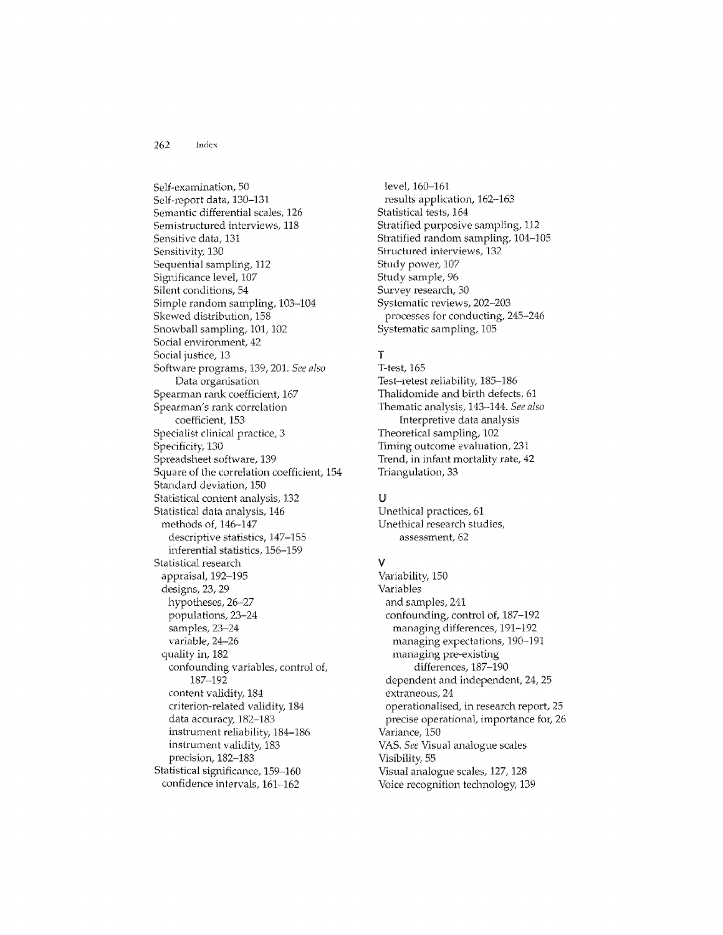Self-examination, 50 Self-report data, 130-131 Semantic differential scales, 126 Semistructured interviews, 118 Sensitive data, 131 Sensitivity, 130 Sequential sampling, 112 Significance level, 107 Silent conditions, 54 Simple random sampling, 103-104 Skewed distribution, 158 Snowball sampling, 101, 102 Social environment, 42 Social justice, 13 Software programs, 139, 201. See also Data organisation Spearman rank coefficient, 167 Spearman's rank correlation coefficient, 153 Specialist clinical practice, 3 Specificity, 130 Spreadsheet software, 139 Square of the correlation coefficient, 154 Standard deviation, 150 Statistical content analysis, 132 Statistical data analysis, 146 methods of, 146-147 descriptive statistics, 147-155 inferential statistics, 156-159 Statistical research appraisal, 192-195 designs, 23, 29 hypotheses, 26-27 populations, 23-24 samples, 23-24 variable, 24-26 quality in, 182 confounding variables, control of, 187-192 content validity, 184 criterion-related validity, 184 data accuracy, 182-183 instrument reliability, 184-186 instrument validity, 183 precision, 182-183 Statistical significance, 159-160 confidence intervals, 161-162

level, 160-161 results application, 162-163 Statistical tests, 164 Stratified purposive sampling, 112 Stratified random sampling, 104-105 Structured interviews, 132 Study power, 107 Study sample, 96 Survey research, 30 Systematic reviews, 202-203 processes for conducting, 245-246 Systematic sampling, 105

# T

T-test, 165 Test-retest reliability, 185-186 Thalidomide and birth defects, 61 Thematic analysis, 143-144. See also Interpretive data analysis Theoretical sampling, 102 Timing outcome evaluation, 231 Trend, in infant mortality rate, 42 Triangulation, 33

#### U

Unethical practices, 61 Unethical research studies, assessment, 62

#### v

Variability, 150 Variables and samples, 241 confounding, control of, 187-192 managing differences, 191-192 managing expectations, 190-191 managing pre-existing differences, 187-190 dependent and independent, 24, 25 extraneous, 24 operationalised, in research report, 25 precise operational, importance for, 26 Variance, 150 VAS. See Visual analogue scales Visibility, 55 Visual analogue scales, 127, 128 Voice recognition technology, 139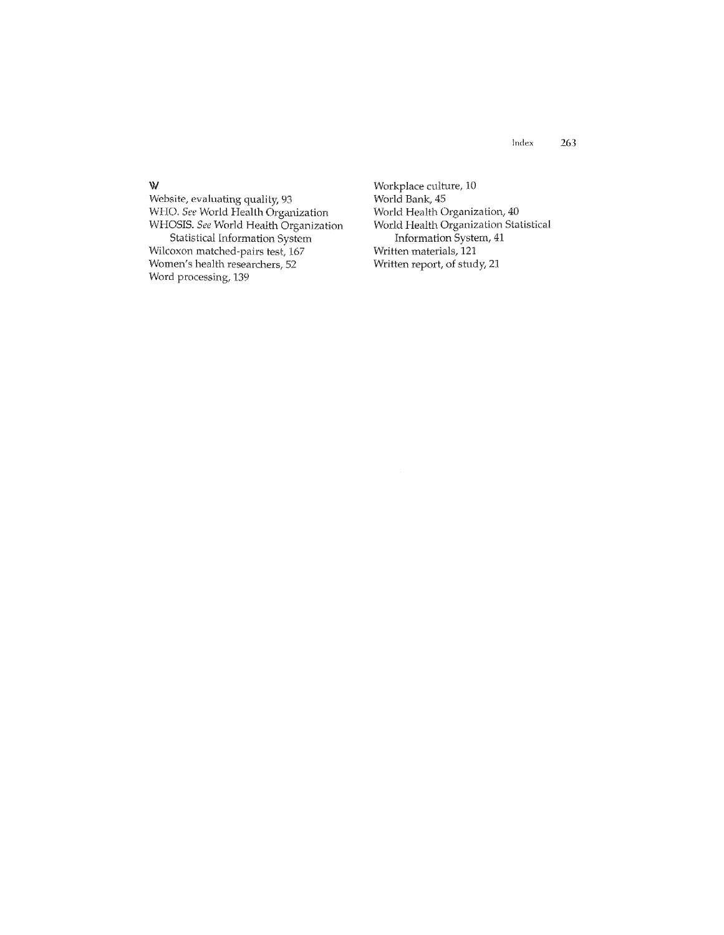Website, evaluating quality, 93 WHO. See World Health Organization WHOSIS. *See* World Health Organization Statistical Information System Wilcoxon matched-pairs test, 167 Women's health researchers, 52 Word processing, 139

Workplace culture, 10 World Bank, 45 World Health Organization, 40 World Health Organization Statistical Information System, 41 Written materials, **121**  Written report, of study, 21

#### W